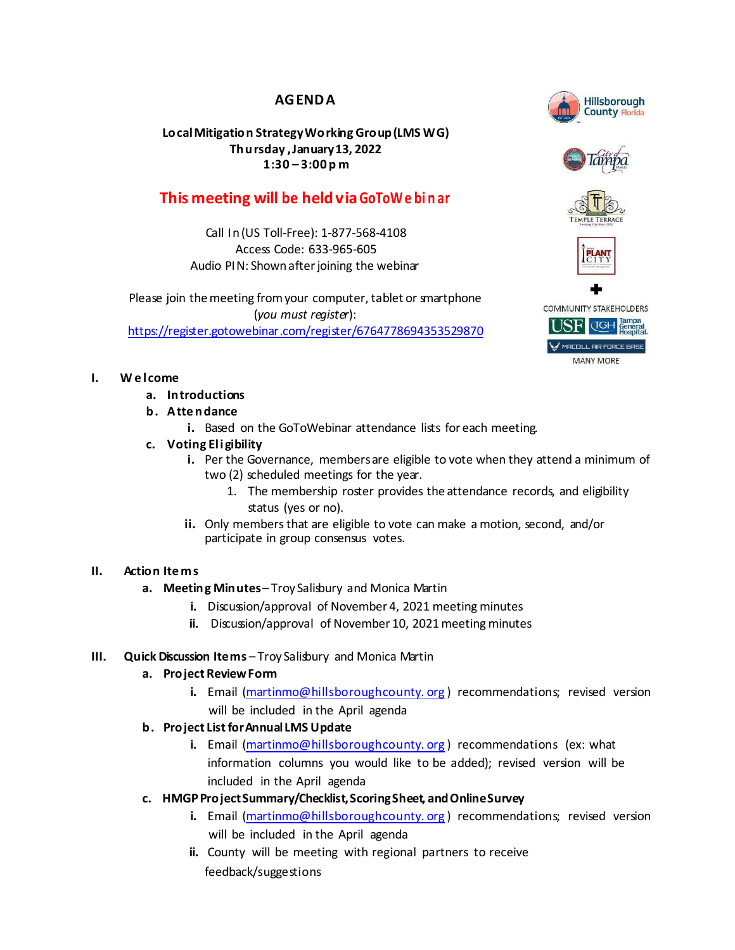# **AGENDA**

## **LocalMitigation StrategyWorking Group(LMS WG) Thursday ,January13, 2022 1:30 – 3:00 p m**

# **This meeting will be heldviaGoToWe bi n ar**

Call In(US Toll-Free): 1-877-568-4108 Access Code: 633-965-605 Audio PIN: Shown after joining the webinar

Please join the meeting from your computer, tablet or smartphone (*you must register*): <https://register.gotowebinar.com/register/6764778694353529870>

## **I. W e l come**

- **a. Introductions**
- **b. Atte ndance**
	- **i.** Based on the GoToWebinar attendance lists for each meeting.

## **c. Voting Eligibility**

- **i.** Per the Governance, members are eligible to vote when they attend a minimum of two (2) scheduled meetings for the year.
	- 1. The membership roster provides the attendance records, and eligibility status (yes or no).
- **ii.** Only membersthat are eligible to vote can make a motion, second, and/or participate in group consensus votes.

#### **II. Action Ite ms**

- **a. Meeting Minutes** Troy Salisbury and Monica Martin
	- **i.** Discussion/approval of November 4, 2021 meeting minutes
	- **ii.** Discussion/approval of November 10, 2021 meeting minutes

## **III. Quick Discussion Items** – Troy Salisbury and Monica Martin

#### **a. Project ReviewForm**

- **i.** Email [\(martinmo@hillsboroughcounty.](mailto:martinmo@hillsboroughcounty.org)org) recommendations; revised version will be included in the April agenda
- **b. Project ListforAnnual LMS Update**
	- **i.** Email [\(martinmo@hillsboroughcounty.](mailto:martinmo@hillsboroughcounty.org)org) recommendations (ex: what information columns you would like to be added); revised version will be included in the April agenda
- **c. HMGPProjectSummary/Checklist,ScoringSheet, andOnlineSurvey**
	- **i.** Email [\(martinmo@hillsboroughcounty.](mailto:martinmo@hillsboroughcounty.org)org) recommendations; revised version will be included in the April agenda
	- **ii.** County will be meeting with regional partners to receive feedback/suggestions



**Hillsborough**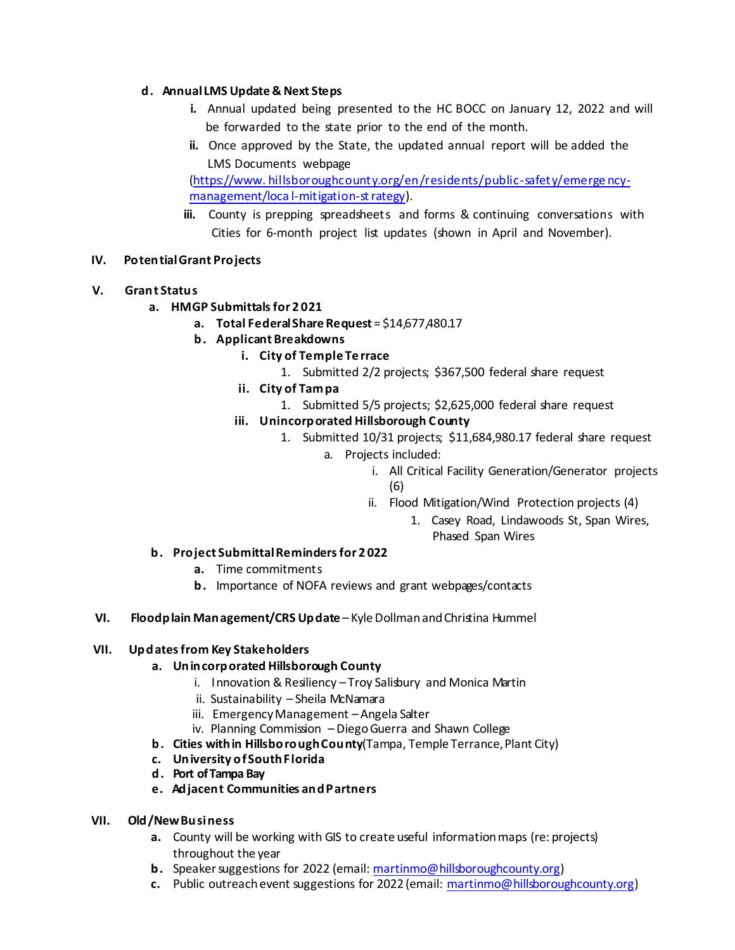### **d. Annual LMS Update & Next Steps**

- **i.** Annual updated being presented to the HC BOCC on January 12, 2022 and will be forwarded to the state prior to the end of the month.
- **ii.** Once approved by the State, the updated annual report will be added the LMS Documents webpage

(https://www. [hillsboroughcounty.org/en/residents/public-safety/emerge](https://www.hillsboroughcounty.org/en/residents/public-safety/emergency-management/local-mitigation-strategy) ncymanagement/loca l-mitigation-st rategy).

**iii.** County is prepping spreadsheets and forms & continuing conversations with Cities for 6-month project list updates (shown in April and November).

## **IV. PotentialGrant Projects**

- **V. Grant Status**
	- **a. HMGP Submittalsfor 2 021**
		- **a. Total FederalShare Request** = \$14,677,480.17
		- **b. Applicant Breakdowns**
			- **i. City of Temple Te rrace**
				- 1. Submitted 2/2 projects; \$367,500 federal share request
			- **ii. City of Tampa**
				- 1. Submitted 5/5 projects; \$2,625,000 federal share request

#### **iii. Unincorporated Hillsborough County**

- 1. Submitted 10/31 projects; \$11,684,980.17 federal share request
	- a. Projects included:
		- i. All Critical Facility Generation/Generator projects (6)
		- ii. Flood Mitigation/Wind Protection projects (4)
			- 1. Casey Road, Lindawoods St, Span Wires, Phased Span Wires

#### **b. Project SubmittalRemindersfor 2 022**

- **a.** Time commitments
- **b.** Importance of NOFA reviews and grant webpages/contacts
- **VI. Floodplain Management/CRS Update** KyleDollmanandChristina Hummel

#### **VII. Updatesfrom Key Stakeholders**

#### **a. Unincorporated Hillsborough County**

- i. Innovation & Resiliency Troy Salisbury and Monica Martin
- ii. Sustainability Sheila McNamara
- iii. Emergency Management Angela Salter
- iv. Planning Commission Diego Guerra and Shawn College
- **b. Cities within HillsboroughCounty**(Tampa, Temple Terrance,Plant City)
- **c. University ofSouthFlorida**
- **d. Port ofTampa Bay**
- **e. Adjacent Communities andPartners**

#### **VII. Old/New Business**

- **a.** County will be working with GIS to create useful informationmaps (re: projects) throughout the year
- **b.** Speaker suggestions for 2022 (email: [martinmo@hillsboroughcounty.org\)](mailto:martinmo@hillsboroughcounty.org)
- **c.** Public outreach event suggestions for 2022 (email: [martinmo@hillsboroughcounty.org\)](mailto:martinmo@hillsboroughcounty.org)